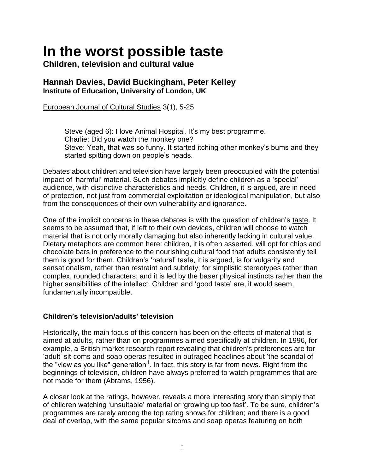# **In the worst possible taste**

**Children, television and cultural value**

**Hannah Davies, David Buckingham, Peter Kelley Institute of Education, University of London, UK**

European Journal of Cultural Studies 3(1), 5-25

Steve (aged 6): I love Animal Hospital. It's my best programme. Charlie: Did you watch the monkey one? Steve: Yeah, that was so funny. It started itching other monkey's bums and they started spitting down on people's heads.

Debates about children and television have largely been preoccupied with the potential impact of 'harmful' material. Such debates implicitly define children as a 'special' audience, with distinctive characteristics and needs. Children, it is argued, are in need of protection, not just from commercial exploitation or ideological manipulation, but also from the consequences of their own vulnerability and ignorance.

One of the implicit concerns in these debates is with the question of children's taste. It seems to be assumed that, if left to their own devices, children will choose to watch material that is not only morally damaging but also inherently lacking in cultural value. Dietary metaphors are common here: children, it is often asserted, will opt for chips and chocolate bars in preference to the nourishing cultural food that adults consistently tell them is good for them. Children's 'natural' taste, it is argued, is for vulgarity and sensationalism, rather than restraint and subtlety; for simplistic stereotypes rather than complex, rounded characters; and it is led by the baser physical instincts rather than the higher sensibilities of the intellect. Children and 'good taste' are, it would seem, fundamentally incompatible.

## **Children's television/adults' television**

Historically, the main focus of this concern has been on the effects of material that is aimed at adults, rather than on programmes aimed specifically at children. In 1996, for example, a British market research report revealing that children's preferences are for 'adult' sit-coms and soap operas resulted in outraged headlines about 'the scandal of the "view as you like" generation". In fact, this story is far from news. Right from the beginnings of television, children have always preferred to watch programmes that are not made for them (Abrams, 1956).

A closer look at the ratings, however, reveals a more interesting story than simply that of children watching 'unsuitable' material or 'growing up too fast'. To be sure, children's programmes are rarely among the top rating shows for children; and there is a good deal of overlap, with the same popular sitcoms and soap operas featuring on both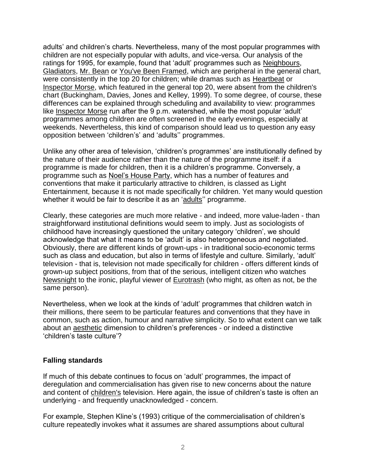adults' and children's charts. Nevertheless, many of the most popular programmes with children are not especially popular with adults, and vice-versa. Our analysis of the ratings for 1995, for example, found that 'adult' programmes such as Neighbours, Gladiators, Mr. Bean or You've Been Framed, which are peripheral in the general chart, were consistently in the top 20 for children; while dramas such as Heartbeat or Inspector Morse, which featured in the general top 20, were absent from the children's chart (Buckingham, Davies, Jones and Kelley, 1999). To some degree, of course, these differences can be explained through scheduling and availability to view: programmes like Inspector Morse run after the 9 p.m. watershed, while the most popular 'adult' programmes among children are often screened in the early evenings, especially at weekends. Nevertheless, this kind of comparison should lead us to question any easy opposition between 'children's' and 'adults'' programmes.

Unlike any other area of television, 'children's programmes' are institutionally defined by the nature of their audience rather than the nature of the programme itself: if a programme is made for children, then it is a children's programme. Conversely, a programme such as Noel's House Party, which has a number of features and conventions that make it particularly attractive to children, is classed as Light Entertainment, because it is not made specifically for children. Yet many would question whether it would be fair to describe it as an 'adults'' programme.

Clearly, these categories are much more relative - and indeed, more value-laden - than straightforward institutional definitions would seem to imply. Just as sociologists of childhood have increasingly questioned the unitary category 'children', we should acknowledge that what it means to be 'adult' is also heterogeneous and negotiated. Obviously, there are different kinds of grown-ups - in traditional socio-economic terms such as class and education, but also in terms of lifestyle and culture. Similarly, 'adult' television - that is, television not made specifically for children - offers different kinds of grown-up subject positions, from that of the serious, intelligent citizen who watches Newsnight to the ironic, playful viewer of Eurotrash (who might, as often as not, be the same person).

Nevertheless, when we look at the kinds of 'adult' programmes that children watch in their millions, there seem to be particular features and conventions that they have in common, such as action, humour and narrative simplicity. So to what extent can we talk about an aesthetic dimension to children's preferences - or indeed a distinctive 'children's taste culture'?

## **Falling standards**

If much of this debate continues to focus on 'adult' programmes, the impact of deregulation and commercialisation has given rise to new concerns about the nature and content of children's television. Here again, the issue of children's taste is often an underlying - and frequently unacknowledged - concern.

For example, Stephen Kline's (1993) critique of the commercialisation of children's culture repeatedly invokes what it assumes are shared assumptions about cultural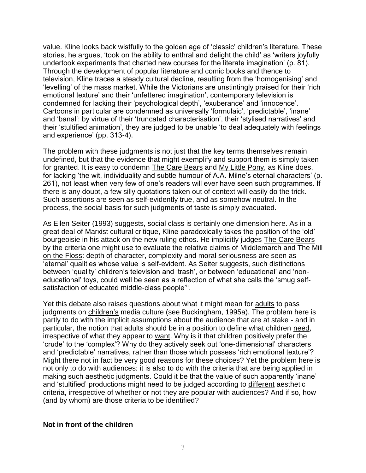value. Kline looks back wistfully to the golden age of 'classic' children's literature. These stories, he argues, 'took on the ability to enthral and delight the child' as 'writers joyfully undertook experiments that charted new courses for the literate imagination' (p. 81). Through the development of popular literature and comic books and thence to television, Kline traces a steady cultural decline, resulting from the 'homogenising' and 'levelling' of the mass market. While the Victorians are unstintingly praised for their 'rich emotional texture' and their 'unfettered imagination', contemporary television is condemned for lacking their 'psychological depth', 'exuberance' and 'innocence'. Cartoons in particular are condemned as universally 'formulaic', 'predictable', 'inane' and 'banal': by virtue of their 'truncated characterisation', their 'stylised narratives' and their 'stultified animation', they are judged to be unable 'to deal adequately with feelings and experience' (pp. 313-4).

The problem with these judgments is not just that the key terms themselves remain undefined, but that the evidence that might exemplify and support them is simply taken for granted. It is easy to condemn The Care Bears and My Little Pony, as Kline does, for lacking 'the wit, individuality and subtle humour of A.A. Milne's eternal characters' (p. 261), not least when very few of one's readers will ever have seen such programmes. If there is any doubt, a few silly quotations taken out of context will easily do the trick. Such assertions are seen as self-evidently true, and as somehow neutral. In the process, the social basis for such judgments of taste is simply evacuated.

As Ellen Seiter (1993) suggests, social class is certainly one dimension here. As in a great deal of Marxist cultural critique, Kline paradoxically takes the position of the 'old' bourgeoisie in his attack on the new ruling ethos. He implicitly judges The Care Bears by the criteria one might use to evaluate the relative claims of Middlemarch and The Mill on the Floss: depth of character, complexity and moral seriousness are seen as 'eternal' qualities whose value is self-evident. As Seiter suggests, such distinctions between 'quality' children's television and 'trash', or between 'educational' and 'noneducational' toys, could well be seen as a reflection of what she calls the 'smug selfsatisfaction of educated middle-class people<sup>,ii</sup>.

Yet this debate also raises questions about what it might mean for adults to pass judgments on children's media culture (see Buckingham, 1995a). The problem here is partly to do with the implicit assumptions about the audience that are at stake - and in particular, the notion that adults should be in a position to define what children need, irrespective of what they appear to want. Why is it that children positively prefer the 'crude' to the 'complex'? Why do they actively seek out 'one-dimensional' characters and 'predictable' narratives, rather than those which possess 'rich emotional texture'? Might there not in fact be very good reasons for these choices? Yet the problem here is not only to do with audiences: it is also to do with the criteria that are being applied in making such aesthetic judgments. Could it be that the value of such apparently 'inane' and 'stultified' productions might need to be judged according to different aesthetic criteria, irrespective of whether or not they are popular with audiences? And if so, how (and by whom) are those criteria to be identified?

#### **Not in front of the children**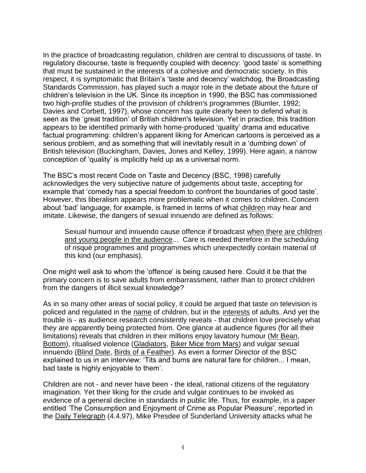In the practice of broadcasting regulation, children are central to discussions of taste. In regulatory discourse, taste is frequently coupled with decency: 'good taste' is something that must be sustained in the interests of a cohesive and democratic society. In this respect, it is symptomatic that Britain's 'taste and decency' watchdog, the Broadcasting Standards Commission, has played such a major role in the debate about the future of children's television in the UK. Since its inception in 1990, the BSC has commissioned two high-profile studies of the provision of children's programmes (Blumler, 1992; Davies and Corbett, 1997), whose concern has quite clearly been to defend what is seen as the 'great tradition' of British children's television. Yet in practice, this tradition appears to be identified primarily with home-produced 'quality' drama and educative factual programming: children's apparent liking for American cartoons is perceived as a serious problem, and as something that will inevitably result in a 'dumbing down' of British television (Buckingham, Davies, Jones and Kelley, 1999). Here again, a narrow conception of 'quality' is implicitly held up as a universal norm.

The BSC's most recent Code on Taste and Decency (BSC, 1998) carefully acknowledges the very subjective nature of judgements about taste, accepting for example that 'comedy has a special freedom to confront the boundaries of good taste'. However, this liberalism appears more problematic when it comes to children. Concern about 'bad' language, for example, is framed in terms of what children may hear and imitate. Likewise, the dangers of sexual innuendo are defined as follows:

Sexual humour and innuendo cause offence if broadcast when there are children and young people in the audience... Care is needed therefore in the scheduling of risqué programmes and programmes which unexpectedly contain material of this kind (our emphasis).

One might well ask to whom the 'offence' is being caused here. Could it be that the primary concern is to save adults from embarrassment, rather than to protect children from the dangers of illicit sexual knowledge?

As in so many other areas of social policy, it could be argued that taste on television is policed and regulated in the name of children, but in the interests of adults. And yet the trouble is - as audience research consistently reveals - that children love precisely what they are apparently being protected from. One glance at audience figures (for all their limitations) reveals that children in their millions enjoy lavatory humour (Mr Bean, Bottom), ritualised violence (Gladiators, Biker Mice from Mars) and vulgar sexual innuendo (Blind Date, Birds of a Feather). As even a former Director of the BSC explained to us in an interview: 'Tits and bums are natural fare for children... I mean, bad taste is highly enjoyable to them'.

Children are not - and never have been - the ideal, rational citizens of the regulatory imagination. Yet their liking for the crude and vulgar continues to be invoked as evidence of a general decline in standards in public life. Thus, for example, in a paper entitled 'The Consumption and Enjoyment of Crime as Popular Pleasure', reported in the Daily Telegraph (4.4.97), Mike Presdee of Sunderland University attacks what he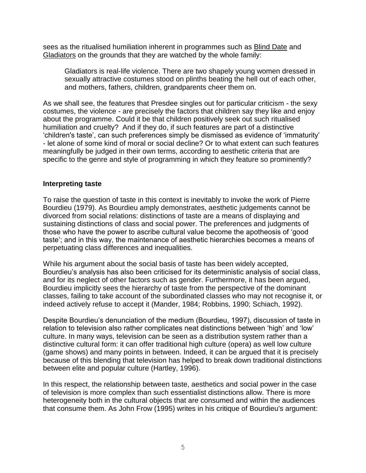sees as the ritualised humiliation inherent in programmes such as Blind Date and Gladiators on the grounds that they are watched by the whole family:

Gladiators is real-life violence. There are two shapely young women dressed in sexually attractive costumes stood on plinths beating the hell out of each other, and mothers, fathers, children, grandparents cheer them on.

As we shall see, the features that Presdee singles out for particular criticism - the sexy costumes, the violence - are precisely the factors that children say they like and enjoy about the programme. Could it be that children positively seek out such ritualised humiliation and cruelty? And if they do, if such features are part of a distinctive 'children's taste', can such preferences simply be dismissed as evidence of 'immaturity' - let alone of some kind of moral or social decline? Or to what extent can such features meaningfully be judged in their own terms, according to aesthetic criteria that are specific to the genre and style of programming in which they feature so prominently?

## **Interpreting taste**

To raise the question of taste in this context is inevitably to invoke the work of Pierre Bourdieu (1979). As Bourdieu amply demonstrates, aesthetic judgements cannot be divorced from social relations: distinctions of taste are a means of displaying and sustaining distinctions of class and social power. The preferences and judgments of those who have the power to ascribe cultural value become the apotheosis of 'good taste'; and in this way, the maintenance of aesthetic hierarchies becomes a means of perpetuating class differences and inequalities.

While his argument about the social basis of taste has been widely accepted, Bourdieu's analysis has also been criticised for its deterministic analysis of social class, and for its neglect of other factors such as gender. Furthermore, it has been argued, Bourdieu implicitly sees the hierarchy of taste from the perspective of the dominant classes, failing to take account of the subordinated classes who may not recognise it, or indeed actively refuse to accept it (Mander, 1984; Robbins, 1990; Schiach, 1992).

Despite Bourdieu's denunciation of the medium (Bourdieu, 1997), discussion of taste in relation to television also rather complicates neat distinctions between 'high' and 'low' culture. In many ways, television can be seen as a distribution system rather than a distinctive cultural form: it can offer traditional high culture (opera) as well low culture (game shows) and many points in between. Indeed, it can be argued that it is precisely because of this blending that television has helped to break down traditional distinctions between elite and popular culture (Hartley, 1996).

In this respect, the relationship between taste, aesthetics and social power in the case of television is more complex than such essentialist distinctions allow. There is more heterogeneity both in the cultural objects that are consumed and within the audiences that consume them. As John Frow (1995) writes in his critique of Bourdieu's argument: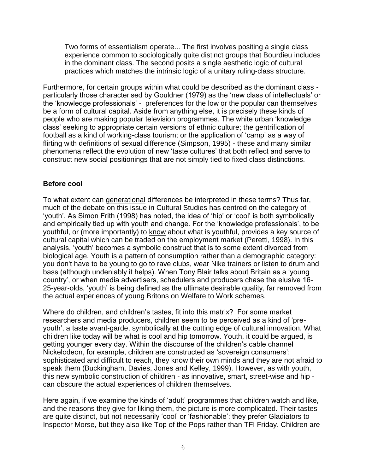Two forms of essentialism operate... The first involves positing a single class experience common to sociologically quite distinct groups that Bourdieu includes in the dominant class. The second posits a single aesthetic logic of cultural practices which matches the intrinsic logic of a unitary ruling-class structure.

Furthermore, for certain groups within what could be described as the dominant class particularly those characterised by Gouldner (1979) as the 'new class of intellectuals' or the 'knowledge professionals' - preferences for the low or the popular can themselves be a form of cultural capital. Aside from anything else, it is precisely these kinds of people who are making popular television programmes. The white urban 'knowledge class' seeking to appropriate certain versions of ethnic culture; the gentrification of football as a kind of working-class tourism; or the application of 'camp' as a way of flirting with definitions of sexual difference (Simpson, 1995) - these and many similar phenomena reflect the evolution of new 'taste cultures' that both reflect and serve to construct new social positionings that are not simply tied to fixed class distinctions.

## **Before cool**

To what extent can generational differences be interpreted in these terms? Thus far, much of the debate on this issue in Cultural Studies has centred on the category of 'youth'. As Simon Frith (1998) has noted, the idea of 'hip' or 'cool' is both symbolically and empirically tied up with youth and change. For the 'knowledge professionals', to be youthful, or (more importantly) to know about what is youthful, provides a key source of cultural capital which can be traded on the employment market (Peretti, 1998). In this analysis, 'youth' becomes a symbolic construct that is to some extent divorced from biological age. Youth is a pattern of consumption rather than a demographic category: you don't have to be young to go to rave clubs, wear Nike trainers or listen to drum and bass (although undeniably it helps). When Tony Blair talks about Britain as a 'young country', or when media advertisers, schedulers and producers chase the elusive 16- 25-year-olds, 'youth' is being defined as the ultimate desirable quality, far removed from the actual experiences of young Britons on Welfare to Work schemes.

Where do children, and children's tastes, fit into this matrix? For some market researchers and media producers, children seem to be perceived as a kind of 'preyouth', a taste avant-garde, symbolically at the cutting edge of cultural innovation. What children like today will be what is cool and hip tomorrow. Youth, it could be argued, is getting younger every day. Within the discourse of the children's cable channel Nickelodeon, for example, children are constructed as 'sovereign consumers': sophisticated and difficult to reach, they know their own minds and they are not afraid to speak them (Buckingham, Davies, Jones and Kelley, 1999). However, as with youth, this new symbolic construction of children - as innovative, smart, street-wise and hip can obscure the actual experiences of children themselves.

Here again, if we examine the kinds of 'adult' programmes that children watch and like, and the reasons they give for liking them, the picture is more complicated. Their tastes are quite distinct, but not necessarily 'cool' or 'fashionable': they prefer Gladiators to Inspector Morse, but they also like Top of the Pops rather than TFI Friday. Children are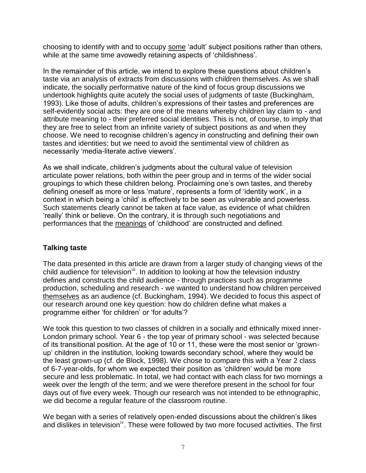choosing to identify with and to occupy some 'adult' subject positions rather than others, while at the same time avowedly retaining aspects of 'childishness'.

In the remainder of this article, we intend to explore these questions about children's taste via an analysis of extracts from discussions with children themselves. As we shall indicate, the socially performative nature of the kind of focus group discussions we undertook highlights quite acutely the social uses of judgments of taste (Buckingham, 1993). Like those of adults, children's expressions of their tastes and preferences are self-evidently social acts: they are one of the means whereby children lay claim to - and attribute meaning to - their preferred social identities. This is not, of course, to imply that they are free to select from an infinite variety of subject positions as and when they choose. We need to recognise children's agency in constructing and defining their own tastes and identities; but we need to avoid the sentimental view of children as necessarily 'media-literate active viewers'.

As we shall indicate, children's judgments about the cultural value of television articulate power relations, both within the peer group and in terms of the wider social groupings to which these children belong. Proclaiming one's own tastes, and thereby defining oneself as more or less 'mature', represents a form of 'identity work', in a context in which being a 'child' is effectively to be seen as vulnerable and powerless. Such statements clearly cannot be taken at face value, as evidence of what children 'really' think or believe. On the contrary, it is through such negotiations and performances that the meanings of 'childhood' are constructed and defined.

## **Talking taste**

The data presented in this article are drawn from a larger study of changing views of the child audience for television<sup>iii</sup>. In addition to looking at how the television industry defines and constructs the child audience - through practices such as programme production, scheduling and research - we wanted to understand how children perceived themselves as an audience (cf. Buckingham, 1994). We decided to focus this aspect of our research around one key question: how do children define what makes a programme either 'for children' or 'for adults'?

We took this question to two classes of children in a socially and ethnically mixed inner-London primary school. Year 6 - the top year of primary school - was selected because of its transitional position. At the age of 10 or 11, these were the most senior or 'grownup' children in the institution, looking towards secondary school, where they would be the least grown-up (cf. de Block, 1998). We chose to compare this with a Year 2 class of 6-7-year-olds, for whom we expected their position as 'children' would be more secure and less problematic. In total, we had contact with each class for two mornings a week over the length of the term; and we were therefore present in the school for four days out of five every week. Though our research was not intended to be ethnographic, we did become a regular feature of the classroom routine.

We began with a series of relatively open-ended discussions about the children's likes and dislikes in television<sup>iv</sup>. These were followed by two more focused activities. The first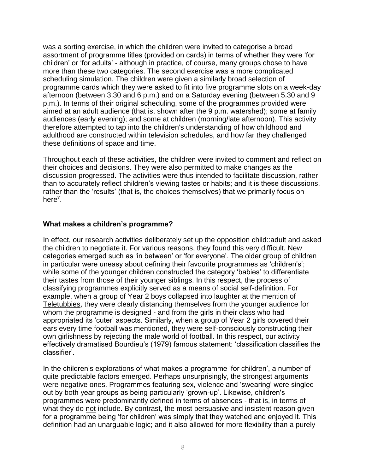was a sorting exercise, in which the children were invited to categorise a broad assortment of programme titles (provided on cards) in terms of whether they were 'for children' or 'for adults' - although in practice, of course, many groups chose to have more than these two categories. The second exercise was a more complicated scheduling simulation. The children were given a similarly broad selection of programme cards which they were asked to fit into five programme slots on a week-day afternoon (between 3.30 and 6 p.m.) and on a Saturday evening (between 5.30 and 9 p.m.). In terms of their original scheduling, some of the programmes provided were aimed at an adult audience (that is, shown after the 9 p.m. watershed); some at family audiences (early evening); and some at children (morning/late afternoon). This activity therefore attempted to tap into the children's understanding of how childhood and adulthood are constructed within television schedules, and how far they challenged these definitions of space and time.

Throughout each of these activities, the children were invited to comment and reflect on their choices and decisions. They were also permitted to make changes as the discussion progressed. The activities were thus intended to facilitate discussion, rather than to accurately reflect children's viewing tastes or habits; and it is these discussions, rather than the 'results' (that is, the choices themselves) that we primarily focus on here $\mathrm{v}$ .

## **What makes a children's programme?**

In effect, our research activities deliberately set up the opposition child::adult and asked the children to negotiate it. For various reasons, they found this very difficult. New categories emerged such as 'in between' or 'for everyone'. The older group of children in particular were uneasy about defining their favourite programmes as 'children's'; while some of the younger children constructed the category 'babies' to differentiate their tastes from those of their younger siblings. In this respect, the process of classifying programmes explicitly served as a means of social self-definition. For example, when a group of Year 2 boys collapsed into laughter at the mention of Teletubbies, they were clearly distancing themselves from the younger audience for whom the programme is designed - and from the girls in their class who had appropriated its 'cuter' aspects. Similarly, when a group of Year 2 girls covered their ears every time football was mentioned, they were self-consciously constructing their own girlishness by rejecting the male world of football. In this respect, our activity effectively dramatised Bourdieu's (1979) famous statement: 'classification classifies the classifier'.

In the children's explorations of what makes a programme 'for children', a number of quite predictable factors emerged. Perhaps unsurprisingly, the strongest arguments were negative ones. Programmes featuring sex, violence and 'swearing' were singled out by both year groups as being particularly 'grown-up'. Likewise, children's programmes were predominantly defined in terms of absences - that is, in terms of what they do not include. By contrast, the most persuasive and insistent reason given for a programme being 'for children' was simply that they watched and enjoyed it. This definition had an unarguable logic; and it also allowed for more flexibility than a purely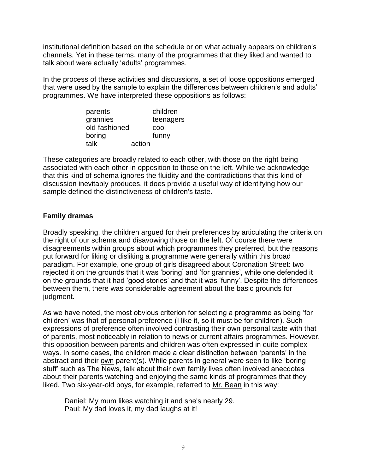institutional definition based on the schedule or on what actually appears on children's channels. Yet in these terms, many of the programmes that they liked and wanted to talk about were actually 'adults' programmes.

In the process of these activities and discussions, a set of loose oppositions emerged that were used by the sample to explain the differences between children's and adults' programmes. We have interpreted these oppositions as follows:

| parents       |        | children  |
|---------------|--------|-----------|
| grannies      |        | teenagers |
| old-fashioned |        | cool      |
| boring        |        | funny     |
| talk          | action |           |

These categories are broadly related to each other, with those on the right being associated with each other in opposition to those on the left. While we acknowledge that this kind of schema ignores the fluidity and the contradictions that this kind of discussion inevitably produces, it does provide a useful way of identifying how our sample defined the distinctiveness of children's taste.

## **Family dramas**

Broadly speaking, the children argued for their preferences by articulating the criteria on the right of our schema and disavowing those on the left. Of course there were disagreements within groups about which programmes they preferred, but the reasons put forward for liking or disliking a programme were generally within this broad paradigm. For example, one group of girls disagreed about Coronation Street: two rejected it on the grounds that it was 'boring' and 'for grannies', while one defended it on the grounds that it had 'good stories' and that it was 'funny'. Despite the differences between them, there was considerable agreement about the basic grounds for judgment.

As we have noted, the most obvious criterion for selecting a programme as being 'for children' was that of personal preference (I like it, so it must be for children). Such expressions of preference often involved contrasting their own personal taste with that of parents, most noticeably in relation to news or current affairs programmes. However, this opposition between parents and children was often expressed in quite complex ways. In some cases, the children made a clear distinction between 'parents' in the abstract and their own parent(s). While parents in general were seen to like 'boring stuff' such as The News, talk about their own family lives often involved anecdotes about their parents watching and enjoying the same kinds of programmes that they liked. Two six-year-old boys, for example, referred to Mr. Bean in this way:

Daniel: My mum likes watching it and she's nearly 29. Paul: My dad loves it, my dad laughs at it!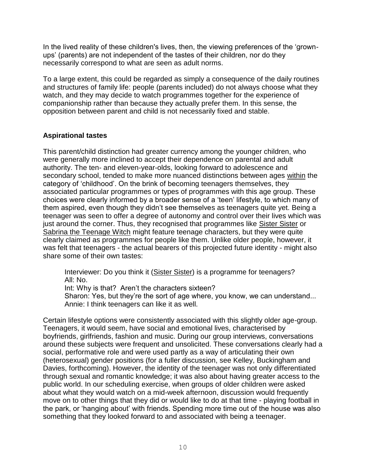In the lived reality of these children's lives, then, the viewing preferences of the 'grownups' (parents) are not independent of the tastes of their children, nor do they necessarily correspond to what are seen as adult norms.

To a large extent, this could be regarded as simply a consequence of the daily routines and structures of family life: people (parents included) do not always choose what they watch, and they may decide to watch programmes together for the experience of companionship rather than because they actually prefer them. In this sense, the opposition between parent and child is not necessarily fixed and stable.

## **Aspirational tastes**

This parent/child distinction had greater currency among the younger children, who were generally more inclined to accept their dependence on parental and adult authority. The ten- and eleven-year-olds, looking forward to adolescence and secondary school, tended to make more nuanced distinctions between ages within the category of 'childhood'. On the brink of becoming teenagers themselves, they associated particular programmes or types of programmes with this age group. These choices were clearly informed by a broader sense of a 'teen' lifestyle, to which many of them aspired, even though they didn't see themselves as teenagers quite yet. Being a teenager was seen to offer a degree of autonomy and control over their lives which was just around the corner. Thus, they recognised that programmes like Sister Sister or Sabrina the Teenage Witch might feature teenage characters, but they were quite clearly claimed as programmes for people like them. Unlike older people, however, it was felt that teenagers - the actual bearers of this projected future identity - might also share some of their own tastes:

Interviewer: Do you think it (Sister Sister) is a programme for teenagers? All: No.

Int: Why is that? Aren't the characters sixteen?

Sharon: Yes, but they're the sort of age where, you know, we can understand... Annie: I think teenagers can like it as well.

Certain lifestyle options were consistently associated with this slightly older age-group. Teenagers, it would seem, have social and emotional lives, characterised by boyfriends, girlfriends, fashion and music. During our group interviews, conversations around these subjects were frequent and unsolicited. These conversations clearly had a social, performative role and were used partly as a way of articulating their own (heterosexual) gender positions (for a fuller discussion, see Kelley, Buckingham and Davies, forthcoming). However, the identity of the teenager was not only differentiated through sexual and romantic knowledge; it was also about having greater access to the public world. In our scheduling exercise, when groups of older children were asked about what they would watch on a mid-week afternoon, discussion would frequently move on to other things that they did or would like to do at that time - playing football in the park, or 'hanging about' with friends. Spending more time out of the house was also something that they looked forward to and associated with being a teenager.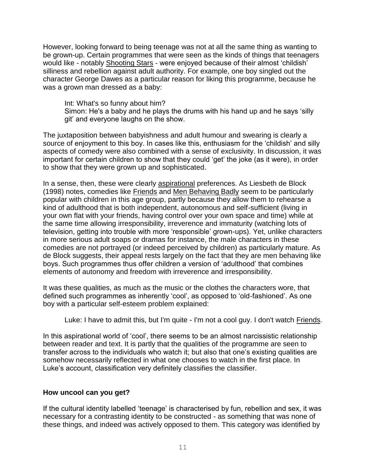However, looking forward to being teenage was not at all the same thing as wanting to be grown-up. Certain programmes that were seen as the kinds of things that teenagers would like - notably Shooting Stars - were enjoyed because of their almost 'childish' silliness and rebellion against adult authority. For example, one boy singled out the character George Dawes as a particular reason for liking this programme, because he was a grown man dressed as a baby:

Int: What's so funny about him? Simon: He's a baby and he plays the drums with his hand up and he says 'silly git' and everyone laughs on the show.

The juxtaposition between babyishness and adult humour and swearing is clearly a source of enjoyment to this boy. In cases like this, enthusiasm for the 'childish' and silly aspects of comedy were also combined with a sense of exclusivity. In discussion, it was important for certain children to show that they could 'get' the joke (as it were), in order to show that they were grown up and sophisticated.

In a sense, then, these were clearly aspirational preferences. As Liesbeth de Block (1998) notes, comedies like Friends and Men Behaving Badly seem to be particularly popular with children in this age group, partly because they allow them to rehearse a kind of adulthood that is both independent, autonomous and self-sufficient (living in your own flat with your friends, having control over your own space and time) while at the same time allowing irresponsibility, irreverence and immaturity (watching lots of television, getting into trouble with more 'responsible' grown-ups). Yet, unlike characters in more serious adult soaps or dramas for instance, the male characters in these comedies are not portrayed (or indeed perceived by children) as particularly mature. As de Block suggests, their appeal rests largely on the fact that they are men behaving like boys. Such programmes thus offer children a version of 'adulthood' that combines elements of autonomy and freedom with irreverence and irresponsibility.

It was these qualities, as much as the music or the clothes the characters wore, that defined such programmes as inherently 'cool', as opposed to 'old-fashioned'. As one boy with a particular self-esteem problem explained:

Luke: I have to admit this, but I'm quite - I'm not a cool guy. I don't watch Friends.

In this aspirational world of 'cool', there seems to be an almost narcissistic relationship between reader and text. It is partly that the qualities of the programme are seen to transfer across to the individuals who watch it; but also that one's existing qualities are somehow necessarily reflected in what one chooses to watch in the first place. In Luke's account, classification very definitely classifies the classifier.

## **How uncool can you get?**

If the cultural identity labelled 'teenage' is characterised by fun, rebellion and sex, it was necessary for a contrasting identity to be constructed - as something that was none of these things, and indeed was actively opposed to them. This category was identified by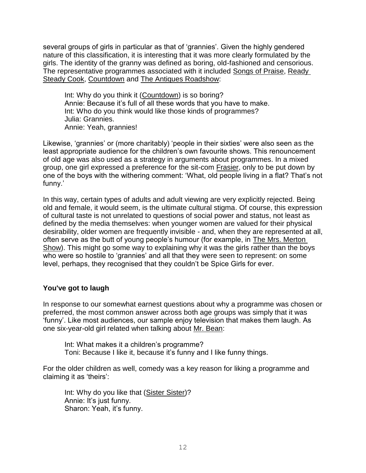several groups of girls in particular as that of 'grannies'. Given the highly gendered nature of this classification, it is interesting that it was more clearly formulated by the girls. The identity of the granny was defined as boring, old-fashioned and censorious. The representative programmes associated with it included Songs of Praise, Ready Steady Cook, Countdown and The Antiques Roadshow:

Int: Why do you think it (Countdown) is so boring? Annie: Because it's full of all these words that you have to make. Int: Who do you think would like those kinds of programmes? Julia: Grannies. Annie: Yeah, grannies!

Likewise, 'grannies' or (more charitably) 'people in their sixties' were also seen as the least appropriate audience for the children's own favourite shows. This renouncement of old age was also used as a strategy in arguments about programmes. In a mixed group, one girl expressed a preference for the sit-com Frasier, only to be put down by one of the boys with the withering comment: 'What, old people living in a flat? That's not funny.'

In this way, certain types of adults and adult viewing are very explicitly rejected. Being old and female, it would seem, is the ultimate cultural stigma. Of course, this expression of cultural taste is not unrelated to questions of social power and status, not least as defined by the media themselves: when younger women are valued for their physical desirability, older women are frequently invisible - and, when they are represented at all, often serve as the butt of young people's humour (for example, in The Mrs. Merton Show). This might go some way to explaining why it was the girls rather than the boys who were so hostile to 'grannies' and all that they were seen to represent: on some level, perhaps, they recognised that they couldn't be Spice Girls for ever.

## **You've got to laugh**

In response to our somewhat earnest questions about why a programme was chosen or preferred, the most common answer across both age groups was simply that it was 'funny'. Like most audiences, our sample enjoy television that makes them laugh. As one six-year-old girl related when talking about Mr. Bean:

Int: What makes it a children's programme? Toni: Because I like it, because it's funny and I like funny things.

For the older children as well, comedy was a key reason for liking a programme and claiming it as 'theirs':

Int: Why do you like that (Sister Sister)? Annie: It's just funny. Sharon: Yeah, it's funny.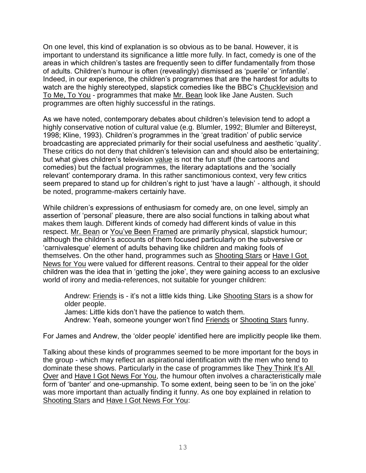On one level, this kind of explanation is so obvious as to be banal. However, it is important to understand its significance a little more fully. In fact, comedy is one of the areas in which children's tastes are frequently seen to differ fundamentally from those of adults. Children's humour is often (revealingly) dismissed as 'puerile' or 'infantile'. Indeed, in our experience, the children's programmes that are the hardest for adults to watch are the highly stereotyped, slapstick comedies like the BBC's Chucklevision and To Me, To You - programmes that make Mr. Bean look like Jane Austen. Such programmes are often highly successful in the ratings.

As we have noted, contemporary debates about children's television tend to adopt a highly conservative notion of cultural value (e.g. Blumler, 1992; Blumler and Biltereyst, 1998; Kline, 1993). Children's programmes in the 'great tradition' of public service broadcasting are appreciated primarily for their social usefulness and aesthetic 'quality'. These critics do not deny that children's television can and should also be entertaining; but what gives children's television value is not the fun stuff (the cartoons and comedies) but the factual programmes, the literary adaptations and the 'socially relevant' contemporary drama. In this rather sanctimonious context, very few critics seem prepared to stand up for children's right to just 'have a laugh' - although, it should be noted, programme-makers certainly have.

While children's expressions of enthusiasm for comedy are, on one level, simply an assertion of 'personal' pleasure, there are also social functions in talking about what makes them laugh. Different kinds of comedy had different kinds of value in this respect. Mr. Bean or You've Been Framed are primarily physical, slapstick humour; although the children's accounts of them focused particularly on the subversive or 'carnivalesque' element of adults behaving like children and making fools of themselves. On the other hand, programmes such as Shooting Stars or Have I Got News for You were valued for different reasons. Central to their appeal for the older children was the idea that in 'getting the joke', they were gaining access to an exclusive world of irony and media-references, not suitable for younger children:

Andrew: Friends is - it's not a little kids thing. Like Shooting Stars is a show for older people.

James: Little kids don't have the patience to watch them.

Andrew: Yeah, someone younger won't find Friends or Shooting Stars funny.

For James and Andrew, the 'older people' identified here are implicitly people like them.

Talking about these kinds of programmes seemed to be more important for the boys in the group - which may reflect an aspirational identification with the men who tend to dominate these shows. Particularly in the case of programmes like They Think It's All Over and Have I Got News For You, the humour often involves a characteristically male form of 'banter' and one-upmanship. To some extent, being seen to be 'in on the joke' was more important than actually finding it funny. As one boy explained in relation to Shooting Stars and Have I Got News For You: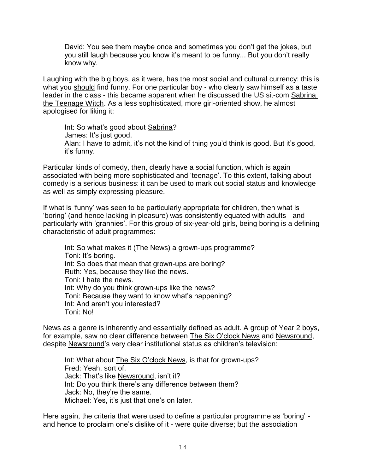David: You see them maybe once and sometimes you don't get the jokes, but you still laugh because you know it's meant to be funny... But you don't really know why.

Laughing with the big boys, as it were, has the most social and cultural currency: this is what you should find funny. For one particular boy - who clearly saw himself as a taste leader in the class - this became apparent when he discussed the US sit-com Sabrina the Teenage Witch. As a less sophisticated, more girl-oriented show, he almost apologised for liking it:

Int: So what's good about Sabrina? James: It's just good. Alan: I have to admit, it's not the kind of thing you'd think is good. But it's good, it's funny.

Particular kinds of comedy, then, clearly have a social function, which is again associated with being more sophisticated and 'teenage'. To this extent, talking about comedy is a serious business: it can be used to mark out social status and knowledge as well as simply expressing pleasure.

If what is 'funny' was seen to be particularly appropriate for children, then what is 'boring' (and hence lacking in pleasure) was consistently equated with adults - and particularly with 'grannies'. For this group of six-year-old girls, being boring is a defining characteristic of adult programmes:

Int: So what makes it (The News) a grown-ups programme? Toni: It's boring. Int: So does that mean that grown-ups are boring? Ruth: Yes, because they like the news. Toni: I hate the news. Int: Why do you think grown-ups like the news? Toni: Because they want to know what's happening? Int: And aren't you interested? Toni: No!

News as a genre is inherently and essentially defined as adult. A group of Year 2 boys, for example, saw no clear difference between The Six O'clock News and Newsround, despite Newsround's very clear institutional status as children's television:

Int: What about The Six O'clock News, is that for grown-ups? Fred: Yeah, sort of. Jack: That's like Newsround, isn't it? Int: Do you think there's any difference between them? Jack: No, they're the same. Michael: Yes, it's just that one's on later.

Here again, the criteria that were used to define a particular programme as 'boring' and hence to proclaim one's dislike of it - were quite diverse; but the association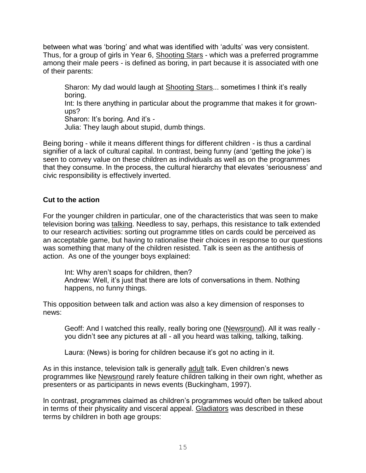between what was 'boring' and what was identified with 'adults' was very consistent. Thus, for a group of girls in Year 6, Shooting Stars - which was a preferred programme among their male peers - is defined as boring, in part because it is associated with one of their parents:

Sharon: My dad would laugh at Shooting Stars... sometimes I think it's really boring.

Int: Is there anything in particular about the programme that makes it for grownups?

Sharon: It's boring. And it's -

Julia: They laugh about stupid, dumb things.

Being boring - while it means different things for different children - is thus a cardinal signifier of a lack of cultural capital. In contrast, being funny (and 'getting the joke') is seen to convey value on these children as individuals as well as on the programmes that they consume. In the process, the cultural hierarchy that elevates 'seriousness' and civic responsibility is effectively inverted.

## **Cut to the action**

For the younger children in particular, one of the characteristics that was seen to make television boring was talking. Needless to say, perhaps, this resistance to talk extended to our research activities: sorting out programme titles on cards could be perceived as an acceptable game, but having to rationalise their choices in response to our questions was something that many of the children resisted. Talk is seen as the antithesis of action. As one of the younger boys explained:

Int: Why aren't soaps for children, then? Andrew: Well, it's just that there are lots of conversations in them. Nothing happens, no funny things.

This opposition between talk and action was also a key dimension of responses to news:

Geoff: And I watched this really, really boring one (Newsround). All it was really you didn't see any pictures at all - all you heard was talking, talking, talking.

Laura: (News) is boring for children because it's got no acting in it.

As in this instance, television talk is generally adult talk. Even children's news programmes like Newsround rarely feature children talking in their own right, whether as presenters or as participants in news events (Buckingham, 1997).

In contrast, programmes claimed as children's programmes would often be talked about in terms of their physicality and visceral appeal. Gladiators was described in these terms by children in both age groups: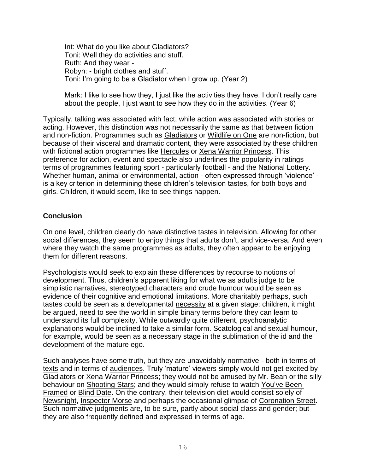Int: What do you like about Gladiators? Toni: Well they do activities and stuff. Ruth: And they wear - Robyn: - bright clothes and stuff. Toni: I'm going to be a Gladiator when I grow up. (Year 2)

Mark: I like to see how they, I just like the activities they have. I don't really care about the people, I just want to see how they do in the activities. (Year 6)

Typically, talking was associated with fact, while action was associated with stories or acting. However, this distinction was not necessarily the same as that between fiction and non-fiction. Programmes such as Gladiators or Wildlife on One are non-fiction, but because of their visceral and dramatic content, they were associated by these children with fictional action programmes like Hercules or Xena Warrior Princess. This preference for action, event and spectacle also underlines the popularity in ratings terms of programmes featuring sport - particularly football - and the National Lottery. Whether human, animal or environmental, action - often expressed through 'violence' is a key criterion in determining these children's television tastes, for both boys and girls. Children, it would seem, like to see things happen.

## **Conclusion**

On one level, children clearly do have distinctive tastes in television. Allowing for other social differences, they seem to enjoy things that adults don't, and vice-versa. And even where they watch the same programmes as adults, they often appear to be enjoying them for different reasons.

Psychologists would seek to explain these differences by recourse to notions of development. Thus, children's apparent liking for what we as adults judge to be simplistic narratives, stereotyped characters and crude humour would be seen as evidence of their cognitive and emotional limitations. More charitably perhaps, such tastes could be seen as a developmental necessity at a given stage: children, it might be argued, need to see the world in simple binary terms before they can learn to understand its full complexity. While outwardly quite different, psychoanalytic explanations would be inclined to take a similar form. Scatological and sexual humour, for example, would be seen as a necessary stage in the sublimation of the id and the development of the mature ego.

Such analyses have some truth, but they are unavoidably normative - both in terms of texts and in terms of audiences. Truly 'mature' viewers simply would not get excited by Gladiators or Xena Warrior Princess; they would not be amused by Mr. Bean or the silly behaviour on Shooting Stars; and they would simply refuse to watch You've Been Framed or Blind Date. On the contrary, their television diet would consist solely of Newsnight, Inspector Morse and perhaps the occasional glimpse of Coronation Street. Such normative judgments are, to be sure, partly about social class and gender; but they are also frequently defined and expressed in terms of age.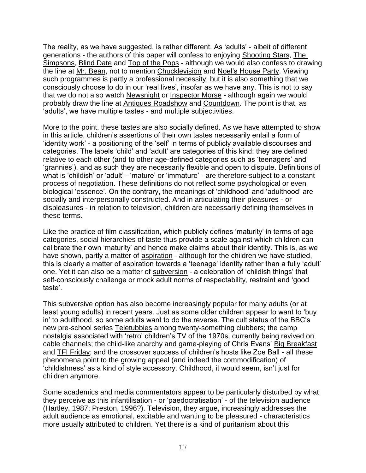The reality, as we have suggested, is rather different. As 'adults' - albeit of different generations - the authors of this paper will confess to enjoying Shooting Stars, The Simpsons, Blind Date and Top of the Pops - although we would also confess to drawing the line at Mr. Bean, not to mention Chucklevision and Noel's House Party. Viewing such programmes is partly a professional necessity, but it is also something that we consciously choose to do in our 'real lives', insofar as we have any. This is not to say that we do not also watch Newsnight or Inspector Morse - although again we would probably draw the line at Antiques Roadshow and Countdown. The point is that, as 'adults', we have multiple tastes - and multiple subjectivities.

More to the point, these tastes are also socially defined. As we have attempted to show in this article, children's assertions of their own tastes necessarily entail a form of 'identity work' - a positioning of the 'self' in terms of publicly available discourses and categories. The labels 'child' and 'adult' are categories of this kind: they are defined relative to each other (and to other age-defined categories such as 'teenagers' and 'grannies'), and as such they are necessarily flexible and open to dispute. Definitions of what is 'childish' or 'adult' - 'mature' or 'immature' - are therefore subject to a constant process of negotiation. These definitions do not reflect some psychological or even biological 'essence'. On the contrary, the meanings of 'childhood' and 'adulthood' are socially and interpersonally constructed. And in articulating their pleasures - or displeasures - in relation to television, children are necessarily defining themselves in these terms.

Like the practice of film classification, which publicly defines 'maturity' in terms of age categories, social hierarchies of taste thus provide a scale against which children can calibrate their own 'maturity' and hence make claims about their identity. This is, as we have shown, partly a matter of aspiration - although for the children we have studied, this is clearly a matter of aspiration towards a 'teenage' identity rather than a fully 'adult' one. Yet it can also be a matter of subversion - a celebration of 'childish things' that self-consciously challenge or mock adult norms of respectability, restraint and 'good taste'.

This subversive option has also become increasingly popular for many adults (or at least young adults) in recent years. Just as some older children appear to want to 'buy in' to adulthood, so some adults want to do the reverse. The cult status of the BBC's new pre-school series Teletubbies among twenty-something clubbers; the camp nostalgia associated with 'retro' children's TV of the 1970s, currently being revived on cable channels; the child-like anarchy and game-playing of Chris Evans' Big Breakfast and TFI Friday; and the crossover success of children's hosts like Zoe Ball - all these phenomena point to the growing appeal (and indeed the commodification) of 'childishness' as a kind of style accessory. Childhood, it would seem, isn't just for children anymore.

Some academics and media commentators appear to be particularly disturbed by what they perceive as this infantilisation - or 'paedocratisation' - of the television audience (Hartley, 1987; Preston, 1996?). Television, they argue, increasingly addresses the adult audience as emotional, excitable and wanting to be pleasured - characteristics more usually attributed to children. Yet there is a kind of puritanism about this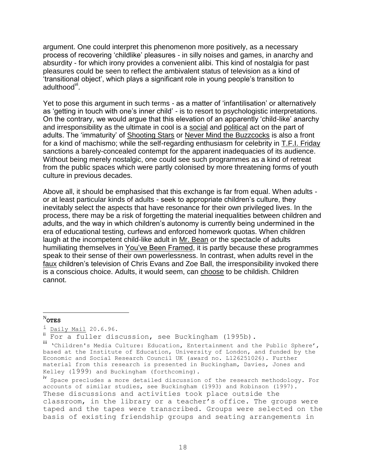argument. One could interpret this phenomenon more positively, as a necessary process of recovering 'childlike' pleasures - in silly noises and games, in anarchy and absurdity - for which irony provides a convenient alibi. This kind of nostalgia for past pleasures could be seen to reflect the ambivalent status of television as a kind of 'transitional object', which plays a significant role in young people's transition to adulthood<sup>vi</sup>.

Yet to pose this argument in such terms - as a matter of 'infantilisation' or alternatively as 'getting in touch with one's inner child' - is to resort to psychologistic interpretations. On the contrary, we would argue that this elevation of an apparently 'child-like' anarchy and irresponsibility as the ultimate in cool is a social and political act on the part of adults. The 'immaturity' of Shooting Stars or Never Mind the Buzzcocks is also a front for a kind of machismo; while the self-regarding enthusiasm for celebrity in T.F.I. Friday sanctions a barely-concealed contempt for the apparent inadequacies of its audience. Without being merely nostalgic, one could see such programmes as a kind of retreat from the public spaces which were partly colonised by more threatening forms of youth culture in previous decades.

Above all, it should be emphasised that this exchange is far from equal. When adults or at least particular kinds of adults - seek to appropriate children's culture, they inevitably select the aspects that have resonance for their own privileged lives. In the process, there may be a risk of forgetting the material inequalities between children and adults, and the way in which children's autonomy is currently being undermined in the era of educational testing, curfews and enforced homework quotas. When children laugh at the incompetent child-like adult in Mr. Bean or the spectacle of adults humiliating themselves in You've Been Framed, it is partly because these programmes speak to their sense of their own powerlessness. In contrast, when adults revel in the faux children's television of Chris Evans and Zoe Ball, the irresponsibility invoked there is a conscious choice. Adults, it would seem, can choose to be childish. Children cannot.

## N **OTES**

 $\frac{1}{11}$  Daily Mail 20.6.96.

For a fuller discussion, see Buckingham (1995b).

iii 'Children's Media Culture: Education, Entertainment and the Public Sphere', based at the Institute of Education, University of London, and funded by the Economic and Social Research Council UK (award no. L126251026). Further material from this research is presented in Buckingham, Davies, Jones and Kelley (1999) and Buckingham (forthcoming).

iv Space precludes a more detailed discussion of the research methodology. For accounts of similar studies, see Buckingham (1993) and Robinson (1997). These discussions and activities took place outside the classroom, in the library or a teacher's office. The groups were taped and the tapes were transcribed. Groups were selected on the basis of existing friendship groups and seating arrangements in